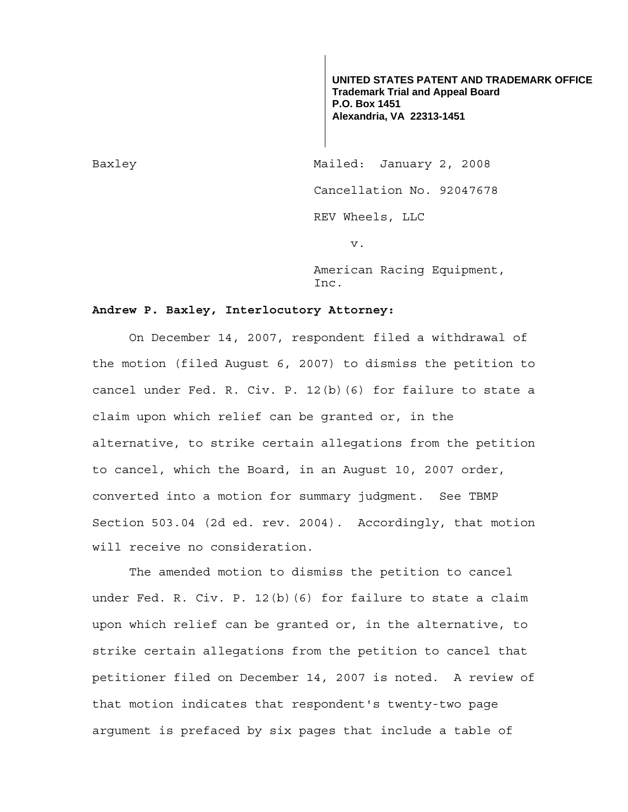**UNITED STATES PATENT AND TRADEMARK OFFICE Trademark Trial and Appeal Board P.O. Box 1451 Alexandria, VA 22313-1451**

Baxley Mailed: January 2, 2008 Cancellation No. 92047678 REV Wheels, LLC v.

> American Racing Equipment, Inc.

## **Andrew P. Baxley, Interlocutory Attorney:**

 On December 14, 2007, respondent filed a withdrawal of the motion (filed August 6, 2007) to dismiss the petition to cancel under Fed. R. Civ. P. 12(b)(6) for failure to state a claim upon which relief can be granted or, in the alternative, to strike certain allegations from the petition to cancel, which the Board, in an August 10, 2007 order, converted into a motion for summary judgment. See TBMP Section 503.04 (2d ed. rev. 2004). Accordingly, that motion will receive no consideration.

 The amended motion to dismiss the petition to cancel under Fed. R. Civ. P. 12(b)(6) for failure to state a claim upon which relief can be granted or, in the alternative, to strike certain allegations from the petition to cancel that petitioner filed on December 14, 2007 is noted. A review of that motion indicates that respondent's twenty-two page argument is prefaced by six pages that include a table of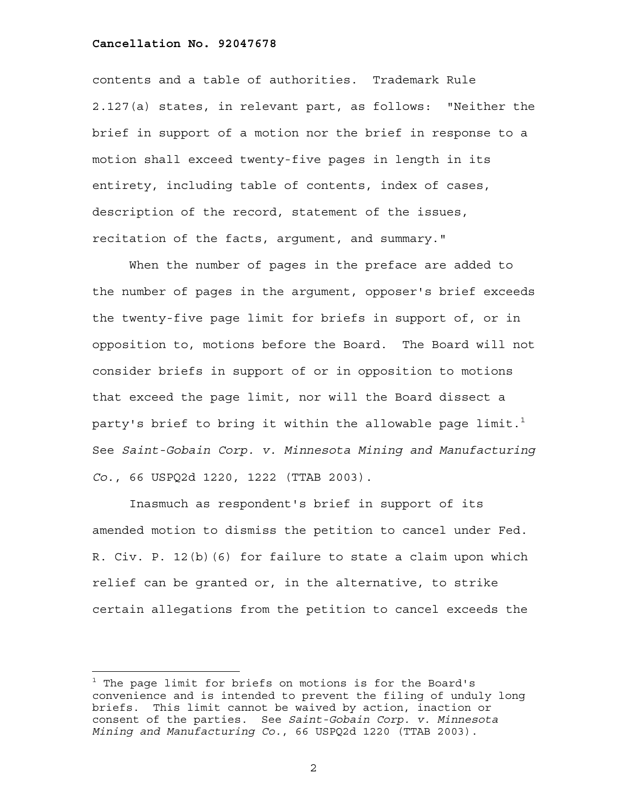## **Cancellation No. 92047678**

i<br>L

contents and a table of authorities. Trademark Rule 2.127(a) states, in relevant part, as follows: "Neither the brief in support of a motion nor the brief in response to a motion shall exceed twenty-five pages in length in its entirety, including table of contents, index of cases, description of the record, statement of the issues, recitation of the facts, argument, and summary."

When the number of pages in the preface are added to the number of pages in the argument, opposer's brief exceeds the twenty-five page limit for briefs in support of, or in opposition to, motions before the Board. The Board will not consider briefs in support of or in opposition to motions that exceed the page limit, nor will the Board dissect a party's brief to bring it within the allowable page limit. $^{\rm 1}$ See *Saint-Gobain Corp. v. Minnesota Mining and Manufacturing Co.*, 66 USPQ2d 1220, 1222 (TTAB 2003).

Inasmuch as respondent's brief in support of its amended motion to dismiss the petition to cancel under Fed. R. Civ. P. 12(b)(6) for failure to state a claim upon which relief can be granted or, in the alternative, to strike certain allegations from the petition to cancel exceeds the

2

 $^1$  The page limit for briefs on motions is for the Board's convenience and is intended to prevent the filing of unduly long briefs. This limit cannot be waived by action, inaction or consent of the parties. See *Saint-Gobain Corp. v. Minnesota Mining and Manufacturing Co.*, 66 USPQ2d 1220 (TTAB 2003).